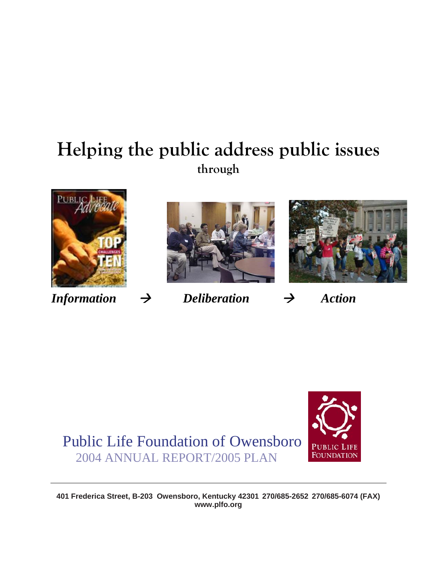# **Helping the public address public issues through**







 $Information \rightarrow Deliberation \rightarrow Action$ 

Public Life Foundation of Owensboro 2004 ANNUAL REPORT/2005 PLAN



**401 Frederica Street, B-203 Owensboro, Kentucky 42301 270/685-2652 270/685-6074 (FAX) www.plfo.org**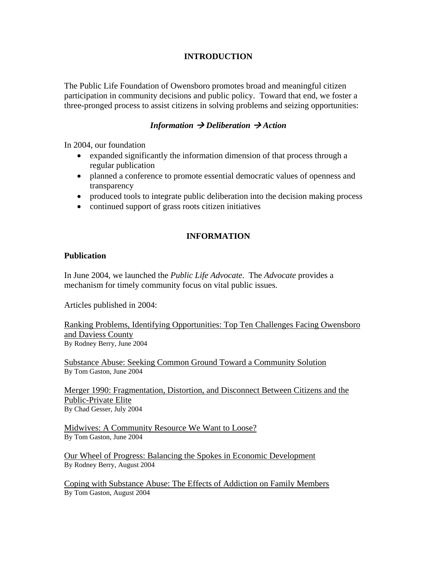# **INTRODUCTION**

The Public Life Foundation of Owensboro promotes broad and meaningful citizen participation in community decisions and public policy. Toward that end, we foster a three-pronged process to assist citizens in solving problems and seizing opportunities:

# *Information*  $\rightarrow$  *Deliberation*  $\rightarrow$  *Action*

In 2004, our foundation

- expanded significantly the information dimension of that process through a regular publication
- planned a conference to promote essential democratic values of openness and transparency
- produced tools to integrate public deliberation into the decision making process
- continued support of grass roots citizen initiatives

# **INFORMATION**

#### **Publication**

In June 2004, we launched the *Public Life Advocate*. The *Advocate* provides a mechanism for timely community focus on vital public issues.

Articles published in 2004:

Ranking Problems, Identifying Opportunities: Top Ten Challenges Facing Owensboro and Daviess County By Rodney Berry, June 2004

Substance Abuse: Seeking Common Ground Toward a Community Solution By Tom Gaston, June 2004

Merger 1990: Fragmentation, Distortion, and Disconnect Between Citizens and the Public-Private Elite By Chad Gesser, July 2004

Midwives: A Community Resource We Want to Loose? By Tom Gaston, June 2004

Our Wheel of Progress: Balancing the Spokes in Economic Development By Rodney Berry, August 2004

Coping with Substance Abuse: The Effects of Addiction on Family Members By Tom Gaston, August 2004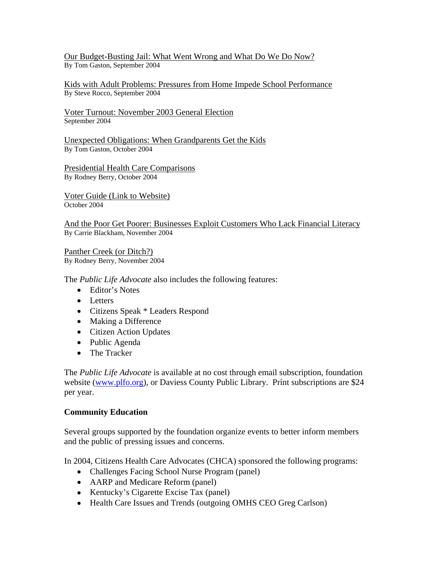Our Budget-Busting Jail: What Went Wrong and What Do We Do Now? By Tom Gaston, September 2004

Kids with Adult Problems: Pressures from Home Impede School Performance By Steve Rocco, September 2004

Voter Turnout: November 2003 General Election September 2004

Unexpected Obligations: When Grandparents Get the Kids By Tom Gaston, October 2004

Presidential Health Care Comparisons By Rodney Berry, October 2004

Voter Guide (Link to Website) October 2004

And the Poor Get Poorer: Businesses Exploit Customers Who Lack Financial Literacy By Carrie Blackham, November 2004

Panther Creek (or Ditch?) By Rodney Berry, November 2004

The *Public Life Advocate* also includes the following features:

- Editor's Notes
- Letters
- Citizens Speak \* Leaders Respond
- Making a Difference
- Citizen Action Updates
- Public Agenda
- The Tracker

The *Public Life Advocate* is available at no cost through email subscription, foundation website ([www.plfo.org\)](http://www.plfo.org/), or Daviess County Public Library. Print subscriptions are \$24 per year.

#### **Community Education**

Several groups supported by the foundation organize events to better inform members and the public of pressing issues and concerns.

In 2004, Citizens Health Care Advocates (CHCA) sponsored the following programs:

- Challenges Facing School Nurse Program (panel)
- AARP and Medicare Reform (panel)
- Kentucky's Cigarette Excise Tax (panel)
- Health Care Issues and Trends (outgoing OMHS CEO Greg Carlson)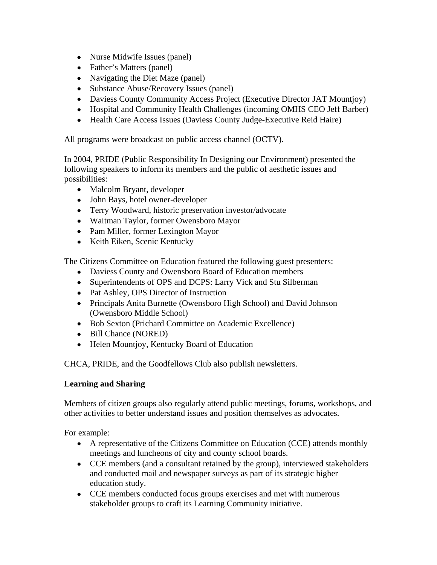- Nurse Midwife Issues (panel)
- Father's Matters (panel)
- Navigating the Diet Maze (panel)
- Substance Abuse/Recovery Issues (panel)
- Daviess County Community Access Project (Executive Director JAT Mountjoy)
- Hospital and Community Health Challenges (incoming OMHS CEO Jeff Barber)
- Health Care Access Issues (Daviess County Judge-Executive Reid Haire)

All programs were broadcast on public access channel (OCTV).

In 2004, PRIDE (Public Responsibility In Designing our Environment) presented the following speakers to inform its members and the public of aesthetic issues and possibilities:

- Malcolm Bryant, developer
- John Bays, hotel owner-developer
- Terry Woodward, historic preservation investor/advocate
- Waitman Taylor, former Owensboro Mayor
- Pam Miller, former Lexington Mayor
- Keith Eiken, Scenic Kentucky

The Citizens Committee on Education featured the following guest presenters:

- Daviess County and Owensboro Board of Education members
- Superintendents of OPS and DCPS: Larry Vick and Stu Silberman
- Pat Ashley, OPS Director of Instruction
- Principals Anita Burnette (Owensboro High School) and David Johnson (Owensboro Middle School)
- Bob Sexton (Prichard Committee on Academic Excellence)
- Bill Chance (NORED)
- Helen Mountjoy, Kentucky Board of Education

CHCA, PRIDE, and the Goodfellows Club also publish newsletters.

# **Learning and Sharing**

Members of citizen groups also regularly attend public meetings, forums, workshops, and other activities to better understand issues and position themselves as advocates.

For example:

- A representative of the Citizens Committee on Education (CCE) attends monthly meetings and luncheons of city and county school boards.
- CCE members (and a consultant retained by the group), interviewed stakeholders and conducted mail and newspaper surveys as part of its strategic higher education study.
- CCE members conducted focus groups exercises and met with numerous stakeholder groups to craft its Learning Community initiative.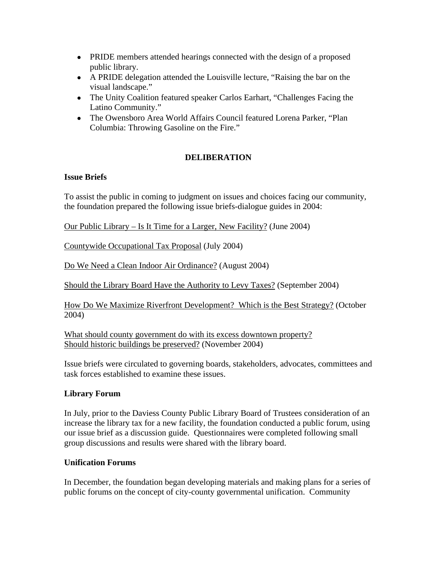- PRIDE members attended hearings connected with the design of a proposed public library.
- A PRIDE delegation attended the Louisville lecture, "Raising the bar on the visual landscape."
- The Unity Coalition featured speaker Carlos Earhart, "Challenges Facing the Latino Community."
- The Owensboro Area World Affairs Council featured Lorena Parker, "Plan Columbia: Throwing Gasoline on the Fire."

# **DELIBERATION**

# **Issue Briefs**

To assist the public in coming to judgment on issues and choices facing our community, the foundation prepared the following issue briefs-dialogue guides in 2004:

Our Public Library – Is It Time for a Larger, New Facility? (June 2004)

Countywide Occupational Tax Proposal (July 2004)

Do We Need a Clean Indoor Air Ordinance? (August 2004)

Should the Library Board Have the Authority to Levy Taxes? (September 2004)

How Do We Maximize Riverfront Development? Which is the Best Strategy? (October 2004)

What should county government do with its excess downtown property? Should historic buildings be preserved? (November 2004)

Issue briefs were circulated to governing boards, stakeholders, advocates, committees and task forces established to examine these issues.

# **Library Forum**

In July, prior to the Daviess County Public Library Board of Trustees consideration of an increase the library tax for a new facility, the foundation conducted a public forum, using our issue brief as a discussion guide. Questionnaires were completed following small group discussions and results were shared with the library board.

#### **Unification Forums**

In December, the foundation began developing materials and making plans for a series of public forums on the concept of city-county governmental unification. Community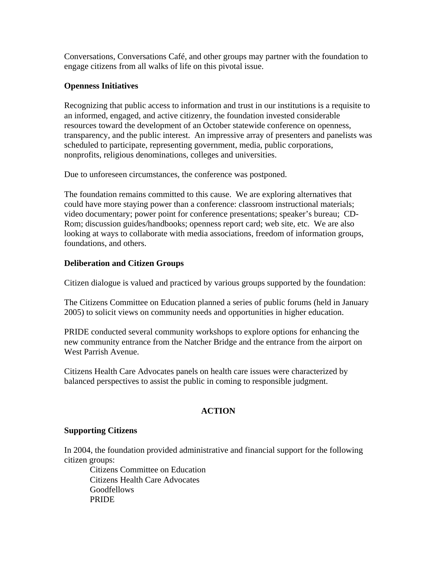Conversations, Conversations Café, and other groups may partner with the foundation to engage citizens from all walks of life on this pivotal issue.

# **Openness Initiatives**

Recognizing that public access to information and trust in our institutions is a requisite to an informed, engaged, and active citizenry, the foundation invested considerable resources toward the development of an October statewide conference on openness, transparency, and the public interest. An impressive array of presenters and panelists was scheduled to participate, representing government, media, public corporations, nonprofits, religious denominations, colleges and universities.

Due to unforeseen circumstances, the conference was postponed.

The foundation remains committed to this cause. We are exploring alternatives that could have more staying power than a conference: classroom instructional materials; video documentary; power point for conference presentations; speaker's bureau; CD-Rom; discussion guides/handbooks; openness report card; web site, etc. We are also looking at ways to collaborate with media associations, freedom of information groups, foundations, and others.

# **Deliberation and Citizen Groups**

Citizen dialogue is valued and practiced by various groups supported by the foundation:

The Citizens Committee on Education planned a series of public forums (held in January 2005) to solicit views on community needs and opportunities in higher education.

PRIDE conducted several community workshops to explore options for enhancing the new community entrance from the Natcher Bridge and the entrance from the airport on West Parrish Avenue.

Citizens Health Care Advocates panels on health care issues were characterized by balanced perspectives to assist the public in coming to responsible judgment.

# **ACTION**

# **Supporting Citizens**

In 2004, the foundation provided administrative and financial support for the following citizen groups:

 Citizens Committee on Education Citizens Health Care Advocates Goodfellows PRIDE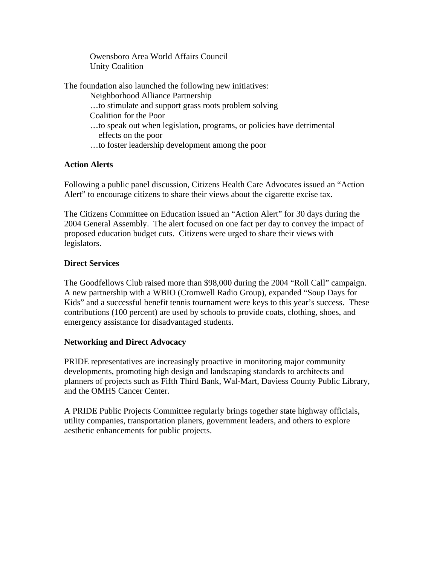Owensboro Area World Affairs Council Unity Coalition

The foundation also launched the following new initiatives:

Neighborhood Alliance Partnership

…to stimulate and support grass roots problem solving

Coalition for the Poor

- …to speak out when legislation, programs, or policies have detrimental effects on the poor
- …to foster leadership development among the poor

# **Action Alerts**

Following a public panel discussion, Citizens Health Care Advocates issued an "Action Alert" to encourage citizens to share their views about the cigarette excise tax.

The Citizens Committee on Education issued an "Action Alert" for 30 days during the 2004 General Assembly. The alert focused on one fact per day to convey the impact of proposed education budget cuts. Citizens were urged to share their views with legislators.

# **Direct Services**

The Goodfellows Club raised more than \$98,000 during the 2004 "Roll Call" campaign. A new partnership with a WBIO (Cromwell Radio Group), expanded "Soup Days for Kids" and a successful benefit tennis tournament were keys to this year's success. These contributions (100 percent) are used by schools to provide coats, clothing, shoes, and emergency assistance for disadvantaged students.

# **Networking and Direct Advocacy**

PRIDE representatives are increasingly proactive in monitoring major community developments, promoting high design and landscaping standards to architects and planners of projects such as Fifth Third Bank, Wal-Mart, Daviess County Public Library, and the OMHS Cancer Center.

A PRIDE Public Projects Committee regularly brings together state highway officials, utility companies, transportation planers, government leaders, and others to explore aesthetic enhancements for public projects.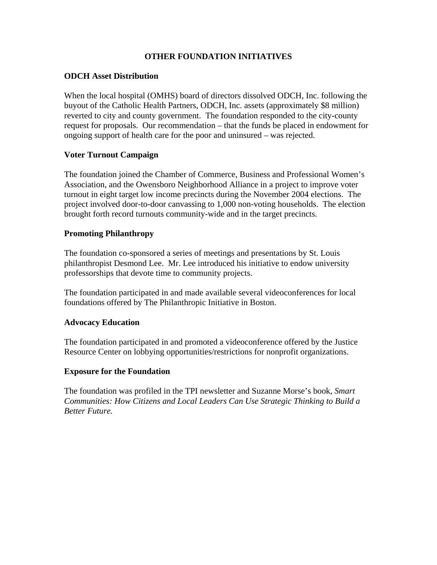# **OTHER FOUNDATION INITIATIVES**

#### **ODCH Asset Distribution**

When the local hospital (OMHS) board of directors dissolved ODCH, Inc. following the buyout of the Catholic Health Partners, ODCH, Inc. assets (approximately \$8 million) reverted to city and county government. The foundation responded to the city-county request for proposals. Our recommendation – that the funds be placed in endowment for ongoing support of health care for the poor and uninsured – was rejected.

#### **Voter Turnout Campaign**

The foundation joined the Chamber of Commerce, Business and Professional Women's Association, and the Owensboro Neighborhood Alliance in a project to improve voter turnout in eight target low income precincts during the November 2004 elections. The project involved door-to-door canvassing to 1,000 non-voting households. The election brought forth record turnouts community-wide and in the target precincts.

#### **Promoting Philanthropy**

The foundation co-sponsored a series of meetings and presentations by St. Louis philanthropist Desmond Lee. Mr. Lee introduced his initiative to endow university professorships that devote time to community projects.

The foundation participated in and made available several videoconferences for local foundations offered by The Philanthropic Initiative in Boston.

#### **Advocacy Education**

The foundation participated in and promoted a videoconference offered by the Justice Resource Center on lobbying opportunities/restrictions for nonprofit organizations.

#### **Exposure for the Foundation**

The foundation was profiled in the TPI newsletter and Suzanne Morse's book, *Smart Communities: How Citizens and Local Leaders Can Use Strategic Thinking to Build a Better Future.*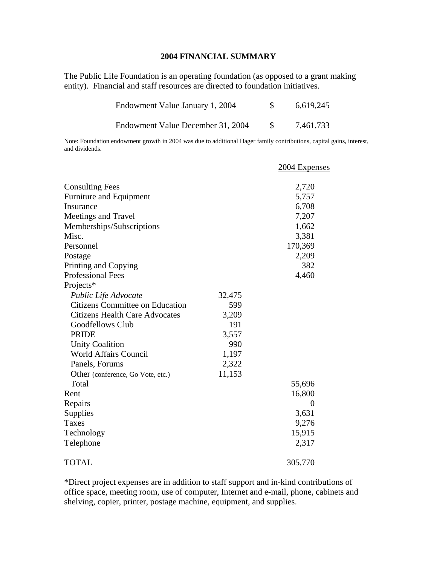#### **2004 FINANCIAL SUMMARY**

The Public Life Foundation is an operating foundation (as opposed to a grant making entity). Financial and staff resources are directed to foundation initiatives.

| Endowment Value January 1, 2004   | 6,619,245 |
|-----------------------------------|-----------|
| Endowment Value December 31, 2004 | 7,461,733 |

Note: Foundation endowment growth in 2004 was due to additional Hager family contributions, capital gains, interest, and dividends.

|                                        |        | 2004 Expenses |
|----------------------------------------|--------|---------------|
| <b>Consulting Fees</b>                 |        | 2,720         |
| Furniture and Equipment                |        | 5,757         |
| Insurance                              |        | 6,708         |
| Meetings and Travel                    |        | 7,207         |
| Memberships/Subscriptions              |        | 1,662         |
| Misc.                                  |        | 3,381         |
| Personnel                              |        | 170,369       |
| Postage                                |        | 2,209         |
| Printing and Copying                   |        | 382           |
| <b>Professional Fees</b>               |        | 4,460         |
| Projects*                              |        |               |
| Public Life Advocate                   | 32,475 |               |
| <b>Citizens Committee on Education</b> | 599    |               |
| <b>Citizens Health Care Advocates</b>  | 3,209  |               |
| Goodfellows Club                       | 191    |               |
| <b>PRIDE</b>                           | 3,557  |               |
| <b>Unity Coalition</b>                 | 990    |               |
| <b>World Affairs Council</b>           | 1,197  |               |
| Panels, Forums                         | 2,322  |               |
| Other (conference, Go Vote, etc.)      | 11,153 |               |
| Total                                  |        | 55,696        |
| Rent                                   |        | 16,800        |
| Repairs                                |        | 0             |
| Supplies                               |        | 3,631         |
| Taxes                                  |        | 9,276         |
| Technology                             |        | 15,915        |
| Telephone                              |        | 2,317         |
| <b>TOTAL</b>                           |        | 305,770       |

\*Direct project expenses are in addition to staff support and in-kind contributions of office space, meeting room, use of computer, Internet and e-mail, phone, cabinets and shelving, copier, printer, postage machine, equipment, and supplies.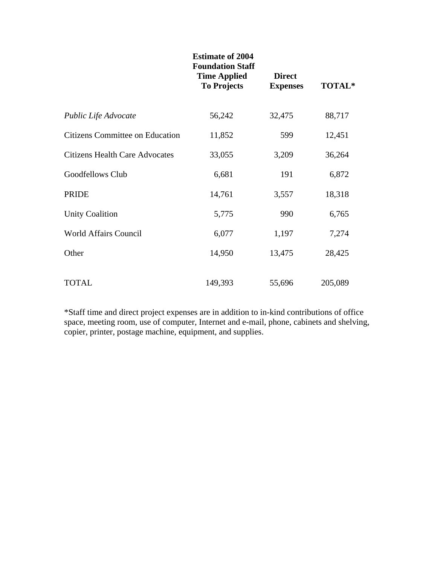|                                       | <b>Estimate of 2004</b><br><b>Foundation Staff</b><br><b>Time Applied</b><br><b>To Projects</b> | <b>Direct</b><br><b>Expenses</b> | TOTAL*  |
|---------------------------------------|-------------------------------------------------------------------------------------------------|----------------------------------|---------|
| Public Life Advocate                  | 56,242                                                                                          | 32,475                           | 88,717  |
| Citizens Committee on Education       | 11,852                                                                                          | 599                              | 12,451  |
| <b>Citizens Health Care Advocates</b> | 33,055                                                                                          | 3,209                            | 36,264  |
| Goodfellows Club                      | 6,681                                                                                           | 191                              | 6,872   |
| <b>PRIDE</b>                          | 14,761                                                                                          | 3,557                            | 18,318  |
| <b>Unity Coalition</b>                | 5,775                                                                                           | 990                              | 6,765   |
| <b>World Affairs Council</b>          | 6,077                                                                                           | 1,197                            | 7,274   |
| Other                                 | 14,950                                                                                          | 13,475                           | 28,425  |
| <b>TOTAL</b>                          | 149,393                                                                                         | 55,696                           | 205,089 |

\*Staff time and direct project expenses are in addition to in-kind contributions of office space, meeting room, use of computer, Internet and e-mail, phone, cabinets and shelving, copier, printer, postage machine, equipment, and supplies.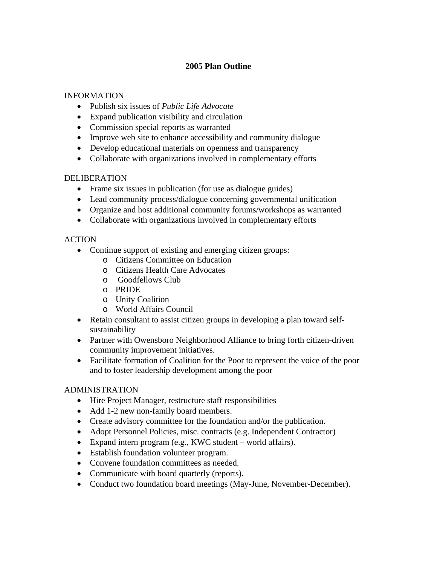# **2005 Plan Outline**

### INFORMATION

- Publish six issues of *Public Life Advocate*
- Expand publication visibility and circulation
- Commission special reports as warranted
- Improve web site to enhance accessibility and community dialogue
- Develop educational materials on openness and transparency
- Collaborate with organizations involved in complementary efforts

#### DELIBERATION

- Frame six issues in publication (for use as dialogue guides)
- Lead community process/dialogue concerning governmental unification
- Organize and host additional community forums/workshops as warranted
- Collaborate with organizations involved in complementary efforts

# **ACTION**

- Continue support of existing and emerging citizen groups:
	- o Citizens Committee on Education
	- o Citizens Health Care Advocates
	- o Goodfellows Club
	- o PRIDE
	- o Unity Coalition
	- o World Affairs Council
- Retain consultant to assist citizen groups in developing a plan toward selfsustainability
- Partner with Owensboro Neighborhood Alliance to bring forth citizen-driven community improvement initiatives.
- Facilitate formation of Coalition for the Poor to represent the voice of the poor and to foster leadership development among the poor

# ADMINISTRATION

- Hire Project Manager, restructure staff responsibilities
- Add 1-2 new non-family board members.
- Create advisory committee for the foundation and/or the publication.
- Adopt Personnel Policies, misc. contracts (e.g. Independent Contractor)
- Expand intern program (e.g., KWC student world affairs).
- Establish foundation volunteer program.
- Convene foundation committees as needed.
- Communicate with board quarterly (reports).
- Conduct two foundation board meetings (May-June, November-December).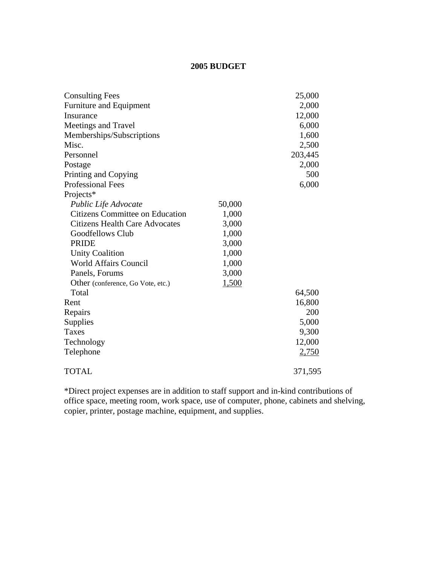#### **2005 BUDGET**

| <b>Consulting Fees</b>                 |        | 25,000  |
|----------------------------------------|--------|---------|
| Furniture and Equipment                |        | 2,000   |
| Insurance                              |        | 12,000  |
| Meetings and Travel                    |        | 6,000   |
| Memberships/Subscriptions              |        | 1,600   |
| Misc.                                  |        | 2,500   |
| Personnel                              |        | 203,445 |
| Postage                                |        | 2,000   |
| Printing and Copying                   |        | 500     |
| <b>Professional Fees</b>               |        | 6,000   |
| Projects*                              |        |         |
| Public Life Advocate                   | 50,000 |         |
| <b>Citizens Committee on Education</b> | 1,000  |         |
| <b>Citizens Health Care Advocates</b>  | 3,000  |         |
| Goodfellows Club                       | 1,000  |         |
| <b>PRIDE</b>                           | 3,000  |         |
| <b>Unity Coalition</b>                 | 1,000  |         |
| <b>World Affairs Council</b>           | 1,000  |         |
| Panels, Forums                         | 3,000  |         |
| Other (conference, Go Vote, etc.)      | 1,500  |         |
| Total                                  |        | 64,500  |
| Rent                                   |        | 16,800  |
| Repairs                                |        | 200     |
| Supplies                               |        | 5,000   |
| Taxes                                  |        | 9,300   |
| Technology                             |        | 12,000  |
| Telephone                              |        | 2,750   |
| <b>TOTAL</b>                           |        | 371,595 |

\*Direct project expenses are in addition to staff support and in-kind contributions of office space, meeting room, work space, use of computer, phone, cabinets and shelving, copier, printer, postage machine, equipment, and supplies.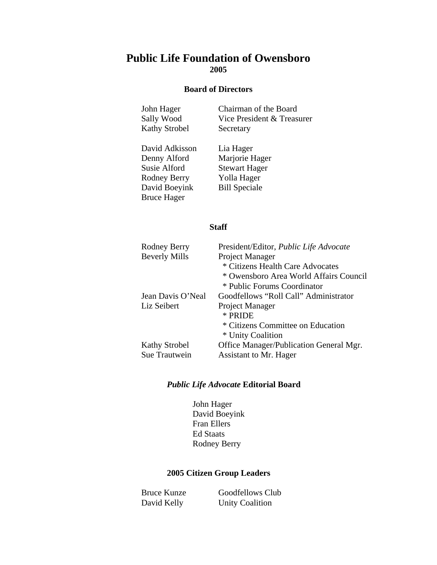# **Public Life Foundation of Owensboro 2005**

#### **Board of Directors**

| John Hager           | Chairman of the Board      |
|----------------------|----------------------------|
| Sally Wood           | Vice President & Treasurer |
| <b>Kathy Strobel</b> | Secretary                  |
|                      |                            |

David Adkisson Lia Hager Susie Alford Stewart Hager Rodney Berry Yolla Hager David Boeyink Bill Speciale Bruce Hager

Marjorie Hager

#### **Staff**

| Rodney Berry         | President/Editor, <i>Public Life Advocate</i> |
|----------------------|-----------------------------------------------|
| <b>Beverly Mills</b> | Project Manager                               |
|                      | * Citizens Health Care Advocates              |
|                      | * Owensboro Area World Affairs Council        |
|                      | * Public Forums Coordinator                   |
| Jean Davis O'Neal    | Goodfellows "Roll Call" Administrator         |
| Liz Seibert          | Project Manager                               |
|                      | * PRIDE                                       |
|                      | * Citizens Committee on Education             |
|                      | * Unity Coalition                             |
| <b>Kathy Strobel</b> | Office Manager/Publication General Mgr.       |
| Sue Trautwein        | Assistant to Mr. Hager                        |

#### *Public Life Advocate* **Editorial Board**

John Hager David Boeyink Fran Ellers Ed Staats Rodney Berry

#### **2005 Citizen Group Leaders**

Bruce Kunze Goodfellows Club David Kelly Unity Coalition